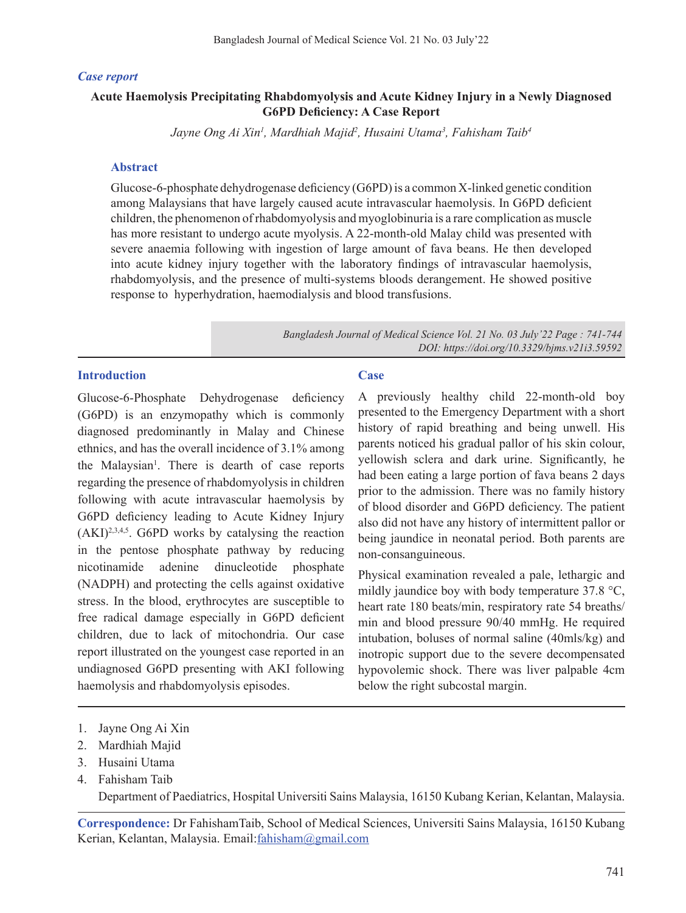### *Case report*

# **Acute Haemolysis Precipitating Rhabdomyolysis and Acute Kidney Injury in a Newly Diagnosed G6PD Deficiency: A Case Report**

*Jayne Ong Ai Xin1 , Mardhiah Majid2 , Husaini Utama3 , Fahisham Taib4*

#### **Abstract**

Glucose-6-phosphate dehydrogenase deficiency (G6PD)is a common X-linked genetic condition among Malaysians that have largely caused acute intravascular haemolysis. In G6PD deficient children, the phenomenon of rhabdomyolysis and myoglobinuria is a rare complication as muscle has more resistant to undergo acute myolysis. A 22-month-old Malay child was presented with severe anaemia following with ingestion of large amount of fava beans. He then developed into acute kidney injury together with the laboratory findings of intravascular haemolysis, rhabdomyolysis, and the presence of multi-systems bloods derangement. He showed positive response to hyperhydration, haemodialysis and blood transfusions.

> *Bangladesh Journal of Medical Science Vol. 21 No. 03 July'22 Page : 741-744 DOI: https://doi.org/10.3329/bjms.v21i3.59592*

### **Introduction**

Glucose-6-Phosphate Dehydrogenase deficiency (G6PD) is an enzymopathy which is commonly diagnosed predominantly in Malay and Chinese ethnics, and has the overall incidence of 3.1% among the Malaysian<sup>1</sup>. There is dearth of case reports regarding the presence of rhabdomyolysis in children following with acute intravascular haemolysis by G6PD deficiency leading to Acute Kidney Injury  $(AKI)^{2,3,4,5}$ . G6PD works by catalysing the reaction in the pentose phosphate pathway by reducing nicotinamide adenine dinucleotide phosphate (NADPH) and protecting the cells against oxidative stress. In the blood, erythrocytes are susceptible to free radical damage especially in G6PD deficient children, due to lack of mitochondria. Our case report illustrated on the youngest case reported in an undiagnosed G6PD presenting with AKI following haemolysis and rhabdomyolysis episodes.

#### **Case**

A previously healthy child 22-month-old boy presented to the Emergency Department with a short history of rapid breathing and being unwell. His parents noticed his gradual pallor of his skin colour, yellowish sclera and dark urine. Significantly, he had been eating a large portion of fava beans 2 days prior to the admission. There was no family history of blood disorder and G6PD deficiency. The patient also did not have any history of intermittent pallor or being jaundice in neonatal period. Both parents are non-consanguineous.

Physical examination revealed a pale, lethargic and mildly jaundice boy with body temperature 37.8 °C, heart rate 180 beats/min, respiratory rate 54 breaths/ min and blood pressure 90/40 mmHg. He required intubation, boluses of normal saline (40mls/kg) and inotropic support due to the severe decompensated hypovolemic shock. There was liver palpable 4cm below the right subcostal margin.

- 1. Jayne Ong Ai Xin
- 2. Mardhiah Majid
- 3. Husaini Utama
- 4. Fahisham Taib

 Department of Paediatrics, Hospital Universiti Sains Malaysia, 16150 Kubang Kerian, Kelantan, Malaysia.

**Correspondence:** Dr FahishamTaib, School of Medical Sciences, Universiti Sains Malaysia, 16150 Kubang Kerian, Kelantan, Malaysia. Email:fahisham@gmail.com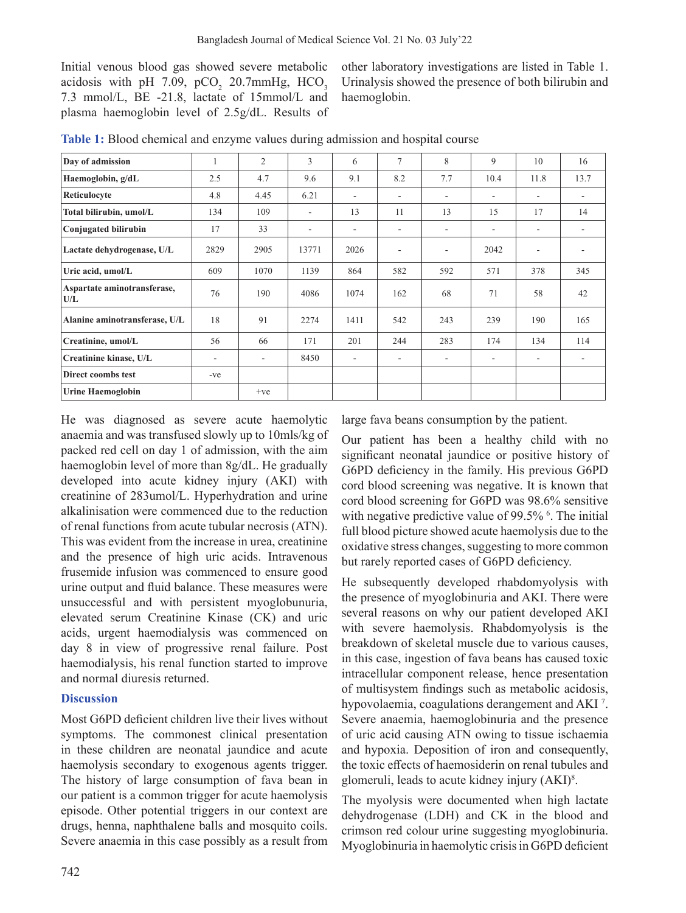Initial venous blood gas showed severe metabolic acidosis with pH 7.09, pCO<sub>2</sub> 20.7mmHg, HCO<sub>3</sub> 7.3 mmol/L, BE -21.8, lactate of 15mmol/L and plasma haemoglobin level of 2.5g/dL. Results of

other laboratory investigations are listed in Table 1. Urinalysis showed the presence of both bilirubin and haemoglobin.

| Day of admission                   | 1     | 2     | 3                        | 6                        | 7                        | 8   | 9                        | 10                       | 16   |
|------------------------------------|-------|-------|--------------------------|--------------------------|--------------------------|-----|--------------------------|--------------------------|------|
| Haemoglobin, g/dL                  | 2.5   | 4.7   | 9.6                      | 9.1                      | 8.2                      | 7.7 | 10.4                     | 11.8                     | 13.7 |
| Reticulocyte                       | 4.8   | 4.45  | 6.21                     | $\overline{\phantom{a}}$ | -                        | ٠   | $\overline{\phantom{0}}$ | ۰                        |      |
| Total bilirubin, umol/L            | 134   | 109   | ٠                        | 13                       | 11                       | 13  | 15                       | 17                       | 14   |
| Conjugated bilirubin               | 17    | 33    | $\overline{\phantom{a}}$ | $\overline{\phantom{a}}$ | ۰                        | ۰   | ٠                        | ٠                        |      |
| Lactate dehydrogenase, U/L         | 2829  | 2905  | 13771                    | 2026                     | $\overline{\phantom{a}}$ | ٠   | 2042                     | $\overline{\phantom{a}}$ |      |
| Uric acid, umol/L                  | 609   | 1070  | 1139                     | 864                      | 582                      | 592 | 571                      | 378                      | 345  |
| Aspartate aminotransferase,<br>U/L | 76    | 190   | 4086                     | 1074                     | 162                      | 68  | 71                       | 58                       | 42   |
| Alanine aminotransferase, U/L      | 18    | 91    | 2274                     | 1411                     | 542                      | 243 | 239                      | 190                      | 165  |
| Creatinine, umol/L                 | 56    | 66    | 171                      | 201                      | 244                      | 283 | 174                      | 134                      | 114  |
| Creatinine kinase, U/L             | ٠     | ۰     | 8450                     | $\overline{\phantom{a}}$ | $\overline{\phantom{a}}$ | ٠   | ٠                        | $\overline{\phantom{a}}$ |      |
| Direct coombs test                 | $-ve$ |       |                          |                          |                          |     |                          |                          |      |
| <b>Urine Haemoglobin</b>           |       | $+ve$ |                          |                          |                          |     |                          |                          |      |

**Table 1:** Blood chemical and enzyme values during admission and hospital course

He was diagnosed as severe acute haemolytic anaemia and was transfused slowly up to 10mls/kg of packed red cell on day 1 of admission, with the aim haemoglobin level of more than 8g/dL. He gradually developed into acute kidney injury (AKI) with creatinine of 283umol/L. Hyperhydration and urine alkalinisation were commenced due to the reduction of renal functions from acute tubular necrosis (ATN). This was evident from the increase in urea, creatinine and the presence of high uric acids. Intravenous frusemide infusion was commenced to ensure good urine output and fluid balance. These measures were unsuccessful and with persistent myoglobunuria, elevated serum Creatinine Kinase (CK) and uric acids, urgent haemodialysis was commenced on day 8 in view of progressive renal failure. Post haemodialysis, his renal function started to improve and normal diuresis returned.

## **Discussion**

Most G6PD deficient children live their lives without symptoms. The commonest clinical presentation in these children are neonatal jaundice and acute haemolysis secondary to exogenous agents trigger. The history of large consumption of fava bean in our patient is a common trigger for acute haemolysis episode. Other potential triggers in our context are drugs, henna, naphthalene balls and mosquito coils. Severe anaemia in this case possibly as a result from large fava beans consumption by the patient.

Our patient has been a healthy child with no significant neonatal jaundice or positive history of G6PD deficiency in the family. His previous G6PD cord blood screening was negative. It is known that cord blood screening for G6PD was 98.6% sensitive with negative predictive value of 99.5% <sup>6</sup>. The initial full blood picture showed acute haemolysis due to the oxidative stress changes, suggesting to more common but rarely reported cases of G6PD deficiency.

He subsequently developed rhabdomyolysis with the presence of myoglobinuria and AKI. There were several reasons on why our patient developed AKI with severe haemolysis. Rhabdomyolysis is the breakdown of skeletal muscle due to various causes, in this case, ingestion of fava beans has caused toxic intracellular component release, hence presentation of multisystem findings such as metabolic acidosis, hypovolaemia, coagulations derangement and AKI<sup>7</sup>. Severe anaemia, haemoglobinuria and the presence of uric acid causing ATN owing to tissue ischaemia and hypoxia. Deposition of iron and consequently, the toxic effects of haemosiderin on renal tubules and glomeruli, leads to acute kidney injury (AKI)<sup>8</sup> .

The myolysis were documented when high lactate dehydrogenase (LDH) and CK in the blood and crimson red colour urine suggesting myoglobinuria. Myoglobinuria in haemolytic crisis in G6PD deficient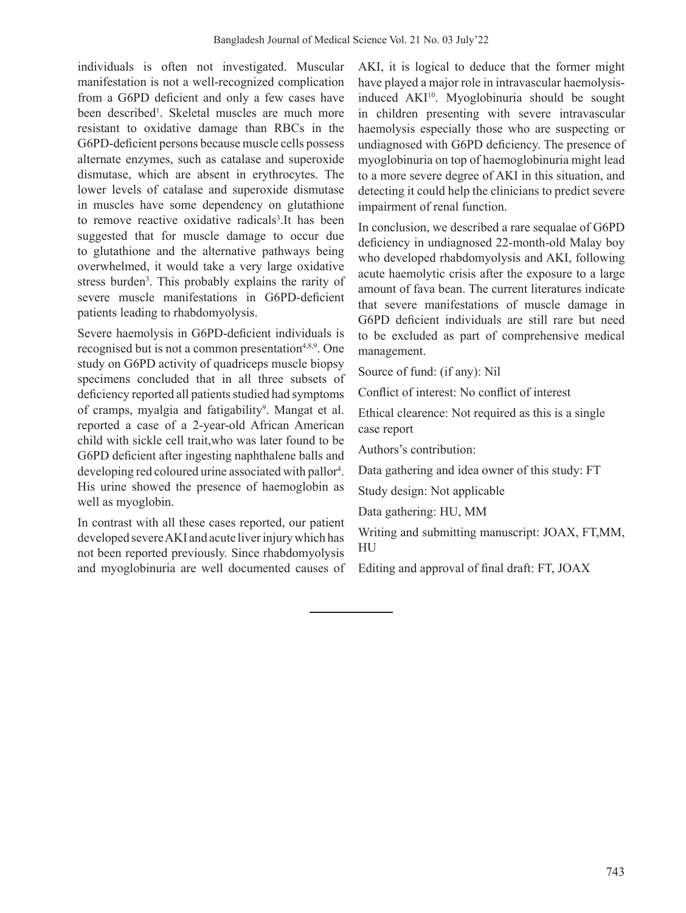individuals is often not investigated. Muscular manifestation is not a well-recognized complication from a G6PD deficient and only a few cases have been described<sup>1</sup>. Skeletal muscles are much more resistant to oxidative damage than RBCs in the G6PD-deficient persons because muscle cells possess alternate enzymes, such as catalase and superoxide dismutase, which are absent in erythrocytes. The lower levels of catalase and superoxide dismutase in muscles have some dependency on glutathione to remove reactive oxidative radicals<sup>3</sup>. It has been suggested that for muscle damage to occur due to glutathione and the alternative pathways being overwhelmed, it would take a very large oxidative stress burden<sup>3</sup>. This probably explains the rarity of severe muscle manifestations in G6PD-deficient patients leading to rhabdomyolysis.

Severe haemolysis in G6PD-deficient individuals is recognised but is not a common presentation<sup>4,8,9</sup>. One study on G6PD activity of quadriceps muscle biopsy specimens concluded that in all three subsets of deficiency reported all patients studied had symptoms of cramps, myalgia and fatigability<sup>9</sup>. Mangat et al. reported a case of a 2-year-old African American child with sickle cell trait,who was later found to be G6PD deficient after ingesting naphthalene balls and developing red coloured urine associated with pallor<sup>4</sup>. His urine showed the presence of haemoglobin as well as myoglobin.

In contrast with all these cases reported, our patient developed severe AKI and acute liver injury which has not been reported previously. Since rhabdomyolysis and myoglobinuria are well documented causes of AKI, it is logical to deduce that the former might have played a major role in intravascular haemolysisinduced AKI10. Myoglobinuria should be sought in children presenting with severe intravascular haemolysis especially those who are suspecting or undiagnosed with G6PD deficiency. The presence of myoglobinuria on top of haemoglobinuria might lead to a more severe degree of AKI in this situation, and detecting it could help the clinicians to predict severe impairment of renal function.

In conclusion, we described a rare sequalae of G6PD deficiency in undiagnosed 22-month-old Malay boy who developed rhabdomyolysis and AKI, following acute haemolytic crisis after the exposure to a large amount of fava bean. The current literatures indicate that severe manifestations of muscle damage in G6PD deficient individuals are still rare but need to be excluded as part of comprehensive medical management.

Source of fund: (if any): Nil

Conflict of interest: No conflict of interest

Ethical clearence: Not required as this is a single case report

Authors's contribution:

Data gathering and idea owner of this study: FT

Study design: Not applicable

Data gathering: HU, MM

Writing and submitting manuscript: JOAX, FT,MM, HU

Editing and approval of final draft: FT, JOAX